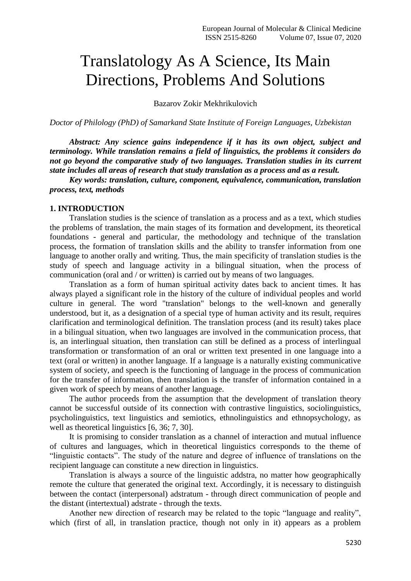## Translatology As A Science, Its Main Directions, Problems And Solutions

Bazarov Zokir Mekhrikulovich

*Doctor of Philology (PhD) of Samarkand State Institute of Foreign Languages, Uzbekistan*

*Abstract: Any science gains independence if it has its own object, subject and terminology. While translation remains a field of linguistics, the problems it considers do not go beyond the comparative study of two languages. Translation studies in its current state includes all areas of research that study translation as a process and as a result.*

*Key words: translation, culture, component, equivalence, communication, translation process, text, methods*

## **1. INTRODUCTION**

Translation studies is the science of translation as a process and as a text, which studies the problems of translation, the main stages of its formation and development, its theoretical foundations - general and particular, the methodology and technique of the translation process, the formation of translation skills and the ability to transfer information from one language to another orally and writing. Thus, the main specificity of translation studies is the study of speech and language activity in a bilingual situation, when the process of communication (oral and / or written) is carried out by means of two languages.

Translation as a form of human spiritual activity dates back to ancient times. It has always played a significant role in the history of the culture of individual peoples and world culture in general. The word "translation" belongs to the well-known and generally understood, but it, as a designation of a special type of human activity and its result, requires clarification and terminological definition. The translation process (and its result) takes place in a bilingual situation, when two languages are involved in the communication process, that is, an interlingual situation, then translation can still be defined as a process of interlingual transformation or transformation of an oral or written text presented in one language into a text (oral or written) in another language. If a language is a naturally existing communicative system of society, and speech is the functioning of language in the process of communication for the transfer of information, then translation is the transfer of information contained in a given work of speech by means of another language.

The author proceeds from the assumption that the development of translation theory cannot be successful outside of its connection with contrastive linguistics, sociolinguistics, psycholinguistics, text linguistics and semiotics, ethnolinguistics and ethnopsychology, as well as theoretical linguistics [6, 36; 7, 30].

It is promising to consider translation as a channel of interaction and mutual influence of cultures and languages, which in theoretical linguistics corresponds to the theme of "linguistic contacts". The study of the nature and degree of influence of translations on the recipient language can constitute a new direction in linguistics.

Translation is always a source of the linguistic addstra, no matter how geographically remote the culture that generated the original text. Accordingly, it is necessary to distinguish between the contact (interpersonal) adstratum - through direct communication of people and the distant (intertextual) adstrate - through the texts.

Another new direction of research may be related to the topic "language and reality", which (first of all, in translation practice, though not only in it) appears as a problem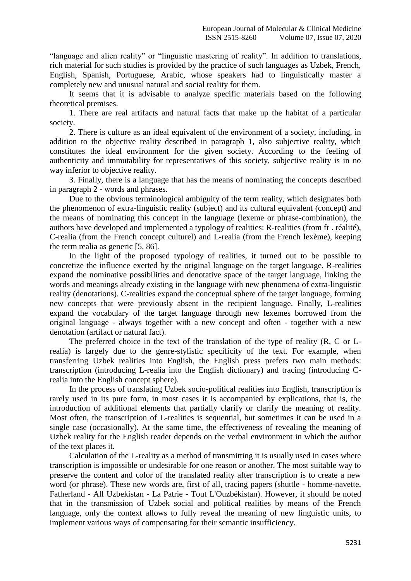"language and alien reality" or "linguistic mastering of reality". In addition to translations, rich material for such studies is provided by the practice of such languages as Uzbek, French, English, Spanish, Portuguese, Arabic, whose speakers had to linguistically master a completely new and unusual natural and social reality for them.

It seems that it is advisable to analyze specific materials based on the following theoretical premises.

1. There are real artifacts and natural facts that make up the habitat of a particular society.

2. There is culture as an ideal equivalent of the environment of a society, including, in addition to the objective reality described in paragraph 1, also subjective reality, which constitutes the ideal environment for the given society. According to the feeling of authenticity and immutability for representatives of this society, subjective reality is in no way inferior to objective reality.

3. Finally, there is a language that has the means of nominating the concepts described in paragraph 2 - words and phrases.

Due to the obvious terminological ambiguity of the term reality, which designates both the phenomenon of extra-linguistic reality (subject) and its cultural equivalent (concept) and the means of nominating this concept in the language (lexeme or phrase-combination), the authors have developed and implemented a typology of realities: R-realities (from fr . réalité), C-realia (from the French concept culturel) and L-realia (from the French lexème), keeping the term realia as generic [5, 86].

In the light of the proposed typology of realities, it turned out to be possible to concretize the influence exerted by the original language on the target language. R-realities expand the nominative possibilities and denotative space of the target language, linking the words and meanings already existing in the language with new phenomena of extra-linguistic reality (denotations). C-realities expand the conceptual sphere of the target language, forming new concepts that were previously absent in the recipient language. Finally, L-realities expand the vocabulary of the target language through new lexemes borrowed from the original language - always together with a new concept and often - together with a new denotation (artifact or natural fact).

The preferred choice in the text of the translation of the type of reality (R, C or Lrealia) is largely due to the genre-stylistic specificity of the text. For example, when transferring Uzbek realities into English, the English press prefers two main methods: transcription (introducing L-realia into the English dictionary) and tracing (introducing Crealia into the English concept sphere).

In the process of translating Uzbek socio-political realities into English, transcription is rarely used in its pure form, in most cases it is accompanied by explications, that is, the introduction of additional elements that partially clarify or clarify the meaning of reality. Most often, the transcription of L-realities is sequential, but sometimes it can be used in a single case (occasionally). At the same time, the effectiveness of revealing the meaning of Uzbek reality for the English reader depends on the verbal environment in which the author of the text places it.

Calculation of the L-reality as a method of transmitting it is usually used in cases where transcription is impossible or undesirable for one reason or another. The most suitable way to preserve the content and color of the translated reality after transcription is to create a new word (or phrase). These new words are, first of all, tracing papers (shuttle - homme-navette, Fatherland - All Uzbekistan - La Patrie - Tout L'Ouzbékistan). However, it should be noted that in the transmission of Uzbek social and political realities by means of the French language, only the context allows to fully reveal the meaning of new linguistic units, to implement various ways of compensating for their semantic insufficiency.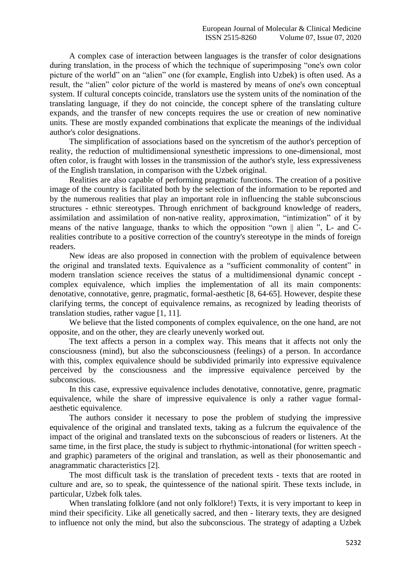A complex case of interaction between languages is the transfer of color designations during translation, in the process of which the technique of superimposing "one's own color picture of the world" on an "alien" one (for example, English into Uzbek) is often used. As a result, the "alien" color picture of the world is mastered by means of one's own conceptual system. If cultural concepts coincide, translators use the system units of the nomination of the translating language, if they do not coincide, the concept sphere of the translating culture expands, and the transfer of new concepts requires the use or creation of new nominative units. These are mostly expanded combinations that explicate the meanings of the individual author's color designations.

The simplification of associations based on the syncretism of the author's perception of reality, the reduction of multidimensional synesthetic impressions to one-dimensional, most often color, is fraught with losses in the transmission of the author's style, less expressiveness of the English translation, in comparison with the Uzbek original.

Realities are also capable of performing pragmatic functions. The creation of a positive image of the country is facilitated both by the selection of the information to be reported and by the numerous realities that play an important role in influencing the stable subconscious structures - ethnic stereotypes. Through enrichment of background knowledge of readers, assimilation and assimilation of non-native reality, approximation, "intimization" of it by means of the native language, thanks to which the opposition "own || alien ", L- and Crealities contribute to a positive correction of the country's stereotype in the minds of foreign readers.

New ideas are also proposed in connection with the problem of equivalence between the original and translated texts. Equivalence as a "sufficient commonality of content" in modern translation science receives the status of a multidimensional dynamic concept complex equivalence, which implies the implementation of all its main components: denotative, connotative, genre, pragmatic, formal-aesthetic [8, 64-65]. However, despite these clarifying terms, the concept of equivalence remains, as recognized by leading theorists of translation studies, rather vague [1, 11].

We believe that the listed components of complex equivalence, on the one hand, are not opposite, and on the other, they are clearly unevenly worked out.

The text affects a person in a complex way. This means that it affects not only the consciousness (mind), but also the subconsciousness (feelings) of a person. In accordance with this, complex equivalence should be subdivided primarily into expressive equivalence perceived by the consciousness and the impressive equivalence perceived by the subconscious.

In this case, expressive equivalence includes denotative, connotative, genre, pragmatic equivalence, while the share of impressive equivalence is only a rather vague formalaesthetic equivalence.

The authors consider it necessary to pose the problem of studying the impressive equivalence of the original and translated texts, taking as a fulcrum the equivalence of the impact of the original and translated texts on the subconscious of readers or listeners. At the same time, in the first place, the study is subject to rhythmic-intonational (for written speech and graphic) parameters of the original and translation, as well as their phonosemantic and anagrammatic characteristics [2].

The most difficult task is the translation of precedent texts - texts that are rooted in culture and are, so to speak, the quintessence of the national spirit. These texts include, in particular, Uzbek folk tales.

When translating folklore (and not only folklore!) Texts, it is very important to keep in mind their specificity. Like all genetically sacred, and then - literary texts, they are designed to influence not only the mind, but also the subconscious. The strategy of adapting a Uzbek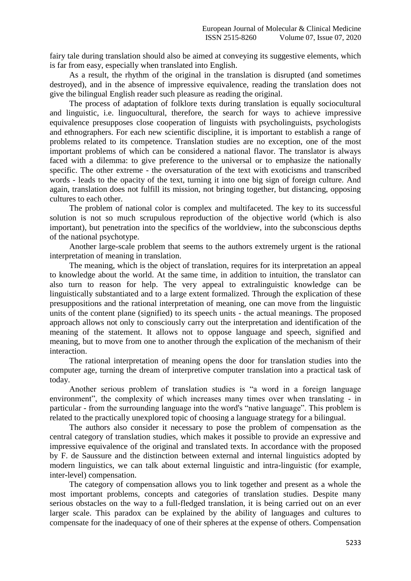fairy tale during translation should also be aimed at conveying its suggestive elements, which is far from easy, especially when translated into English.

As a result, the rhythm of the original in the translation is disrupted (and sometimes destroyed), and in the absence of impressive equivalence, reading the translation does not give the bilingual English reader such pleasure as reading the original.

The process of adaptation of folklore texts during translation is equally sociocultural and linguistic, i.e. linguocultural, therefore, the search for ways to achieve impressive equivalence presupposes close cooperation of linguists with psycholinguists, psychologists and ethnographers. For each new scientific discipline, it is important to establish a range of problems related to its competence. Translation studies are no exception, one of the most important problems of which can be considered a national flavor. The translator is always faced with a dilemma: to give preference to the universal or to emphasize the nationally specific. The other extreme - the oversaturation of the text with exoticisms and transcribed words - leads to the opacity of the text, turning it into one big sign of foreign culture. And again, translation does not fulfill its mission, not bringing together, but distancing, opposing cultures to each other.

The problem of national color is complex and multifaceted. The key to its successful solution is not so much scrupulous reproduction of the objective world (which is also important), but penetration into the specifics of the worldview, into the subconscious depths of the national psychotype.

Another large-scale problem that seems to the authors extremely urgent is the rational interpretation of meaning in translation.

The meaning, which is the object of translation, requires for its interpretation an appeal to knowledge about the world. At the same time, in addition to intuition, the translator can also turn to reason for help. The very appeal to extralinguistic knowledge can be linguistically substantiated and to a large extent formalized. Through the explication of these presuppositions and the rational interpretation of meaning, one can move from the linguistic units of the content plane (signified) to its speech units - the actual meanings. The proposed approach allows not only to consciously carry out the interpretation and identification of the meaning of the statement. It allows not to oppose language and speech, signified and meaning, but to move from one to another through the explication of the mechanism of their interaction.

The rational interpretation of meaning opens the door for translation studies into the computer age, turning the dream of interpretive computer translation into a practical task of today.

Another serious problem of translation studies is "a word in a foreign language environment", the complexity of which increases many times over when translating - in particular - from the surrounding language into the word's "native language". This problem is related to the practically unexplored topic of choosing a language strategy for a bilingual.

The authors also consider it necessary to pose the problem of compensation as the central category of translation studies, which makes it possible to provide an expressive and impressive equivalence of the original and translated texts. In accordance with the proposed by F. de Saussure and the distinction between external and internal linguistics adopted by modern linguistics, we can talk about external linguistic and intra-linguistic (for example, inter-level) compensation.

The category of compensation allows you to link together and present as a whole the most important problems, concepts and categories of translation studies. Despite many serious obstacles on the way to a full-fledged translation, it is being carried out on an ever larger scale. This paradox can be explained by the ability of languages and cultures to compensate for the inadequacy of one of their spheres at the expense of others. Compensation